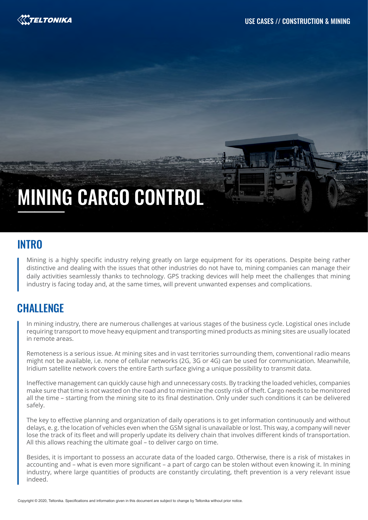

# MINING CARGO CONTROL

#### **INTRO**

Mining is a highly specific industry relying greatly on large equipment for its operations. Despite being rather distinctive and dealing with the issues that other industries do not have to, mining companies can manage their daily activities seamlessly thanks to technology. GPS tracking devices will help meet the challenges that mining industry is facing today and, at the same times, will prevent unwanted expenses and complications.

#### **CHALLENGE**

In mining industry, there are numerous challenges at various stages of the business cycle. Logistical ones include requiring transport to move heavy equipment and transporting mined products as mining sites are usually located in remote areas.

Remoteness is a serious issue. At mining sites and in vast territories surrounding them, conventional radio means might not be available, i.e. none of cellular networks (2G, 3G or 4G) can be used for communication. Meanwhile, Iridium satellite network covers the entire Earth surface giving a unique possibility to transmit data.

Ineffective management can quickly cause high and unnecessary costs. By tracking the loaded vehicles, companies make sure that time is not wasted on the road and to minimize the costly risk of theft. Cargo needs to be monitored all the time – starting from the mining site to its final destination. Only under such conditions it can be delivered safely.

The key to effective planning and organization of daily operations is to get information continuously and without delays, e. g. the location of vehicles even when the GSM signal is unavailable or lost. This way, a company will never lose the track of its fleet and will properly update its delivery chain that involves different kinds of transportation. All this allows reaching the ultimate goal – to deliver cargo on time.

Besides, it is important to possess an accurate data of the loaded cargo. Otherwise, there is a risk of mistakes in accounting and – what is even more significant – a part of cargo can be stolen without even knowing it. In mining industry, where large quantities of products are constantly circulating, theft prevention is a very relevant issue indeed.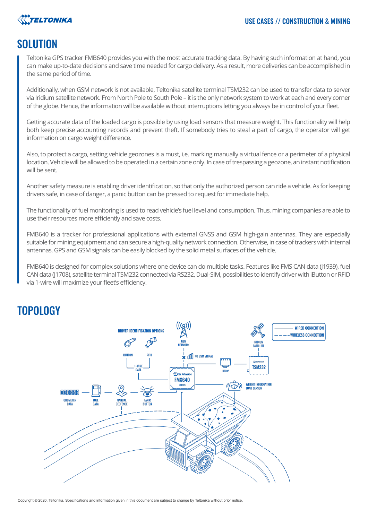

#### **SOLUTION**

Teltonika GPS tracker FMB640 provides you with the most accurate tracking data. By having such information at hand, you can make up-to-date decisions and save time needed for cargo delivery. As a result, more deliveries can be accomplished in the same period of time.

Additionally, when GSM network is not available, Teltonika satellite terminal TSM232 can be used to transfer data to server via Iridium satellite network. From North Pole to South Pole – it is the only network system to work at each and every corner of the globe. Hence, the information will be available without interruptions letting you always be in control of your fleet.

Getting accurate data of the loaded cargo is possible by using load sensors that measure weight. This functionality will help both keep precise accounting records and prevent theft. If somebody tries to steal a part of cargo, the operator will get information on cargo weight difference.

Also, to protect a cargo, setting vehicle geozones is a must, i.e. marking manually a virtual fence or a perimeter of a physical location. Vehicle will be allowed to be operated in a certain zone only. In case of trespassing a geozone, an instant notification will be sent.

Another safety measure is enabling driver identification, so that only the authorized person can ride a vehicle. As for keeping drivers safe, in case of danger, a panic button can be pressed to request for immediate help.

The functionality of fuel monitoring is used to read vehicle's fuel level and consumption. Thus, mining companies are able to use their resources more efficiently and save costs.

FMB640 is a tracker for professional applications with external GNSS and GSM high-gain antennas. They are especially suitable for mining equipment and can secure a high-quality network connection. Otherwise, in case of trackers with internal antennas, GPS and GSM signals can be easily blocked by the solid metal surfaces of the vehicle.

FMB640 is designed for complex solutions where one device can do multiple tasks. Features like FMS CAN data (J1939), fuel CAN data (J1708), satellite terminal TSM232 connected via RS232, Dual-SIM, possibilities to identify driver with iButton or RFID via 1-wire will maximize your fleet's efficiency.

## TOPOLOGY



Copyright © 2020, Teltonika. Specifications and information given in this document are subject to change by Teltonika without prior notice.